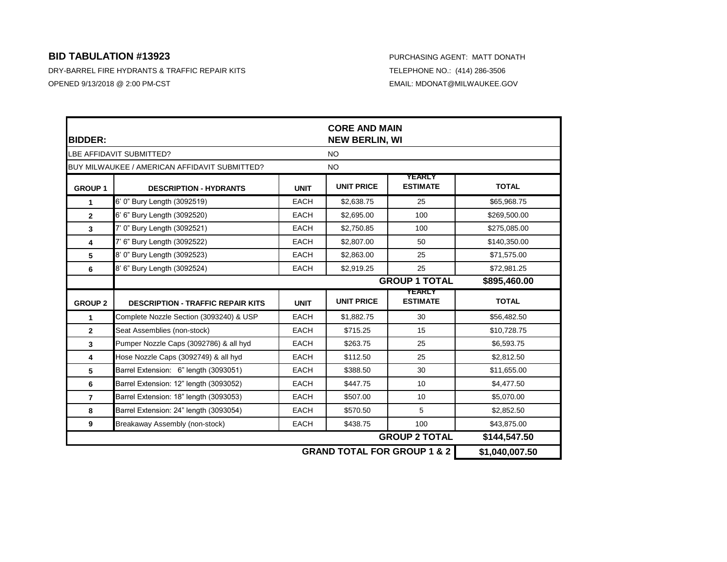| <b>BIDDER:</b>           |                                               |             | <b>CORE AND MAIN</b><br><b>NEW BERLIN, WI</b> |                                  |                |  |
|--------------------------|-----------------------------------------------|-------------|-----------------------------------------------|----------------------------------|----------------|--|
| LBE AFFIDAVIT SUBMITTED? |                                               |             | <b>NO</b>                                     |                                  |                |  |
|                          | BUY MILWAUKEE / AMERICAN AFFIDAVIT SUBMITTED? |             | <b>NO</b>                                     |                                  |                |  |
| <b>GROUP 1</b>           | <b>DESCRIPTION - HYDRANTS</b>                 | <b>UNIT</b> | <b>UNIT PRICE</b>                             | <b>YEARLY</b><br><b>ESTIMATE</b> | <b>TOTAL</b>   |  |
| 1                        | 6' 0" Bury Length (3092519)                   | <b>EACH</b> | \$2,638.75                                    | 25                               | \$65,968.75    |  |
| $\mathbf{2}$             | 6' 6" Bury Length (3092520)                   | <b>EACH</b> | \$2,695.00                                    | 100                              | \$269,500.00   |  |
| 3                        | 7' 0" Bury Length (3092521)                   | <b>EACH</b> | \$2,750.85                                    | 100                              | \$275,085.00   |  |
| 4                        | 7' 6" Bury Length (3092522)                   | <b>EACH</b> | \$2,807.00                                    | 50                               | \$140,350.00   |  |
| 5                        | 8' 0" Bury Length (3092523)                   | <b>EACH</b> | \$2,863.00                                    | 25                               | \$71,575.00    |  |
| 6                        | 8' 6" Bury Length (3092524)                   | <b>EACH</b> | \$2,919.25                                    | 25                               | \$72,981.25    |  |
|                          |                                               |             | <b>GROUP 1 TOTAL</b><br>\$895,460.00          |                                  |                |  |
| <b>GROUP 2</b>           | <b>DESCRIPTION - TRAFFIC REPAIR KITS</b>      | <b>UNIT</b> | <b>UNIT PRICE</b>                             | <b>YEARLY</b><br><b>ESTIMATE</b> | <b>TOTAL</b>   |  |
| 1                        | Complete Nozzle Section (3093240) & USP       | <b>EACH</b> | \$1,882.75                                    | 30                               | \$56,482.50    |  |
| $\mathbf{2}$             | Seat Assemblies (non-stock)                   | <b>EACH</b> | \$715.25                                      | 15                               | \$10,728.75    |  |
| 3                        | Pumper Nozzle Caps (3092786) & all hyd        | <b>EACH</b> | \$263.75                                      | 25                               | \$6,593.75     |  |
| 4                        | Hose Nozzle Caps (3092749) & all hyd          | <b>EACH</b> | \$112.50                                      | 25                               | \$2,812.50     |  |
| 5                        | Barrel Extension: 6" length (3093051)         | <b>EACH</b> | \$388.50                                      | 30                               | \$11,655.00    |  |
| 6                        | Barrel Extension: 12" length (3093052)        | <b>EACH</b> | \$447.75                                      | 10                               | \$4,477.50     |  |
| $\overline{7}$           | Barrel Extension: 18" length (3093053)        | <b>EACH</b> | \$507.00                                      | 10                               | \$5,070.00     |  |
| 8                        | Barrel Extension: 24" length (3093054)        | <b>EACH</b> | \$570.50                                      | 5                                | \$2,852.50     |  |
| 9                        | Breakaway Assembly (non-stock)                | <b>EACH</b> | \$438.75                                      | 100                              | \$43,875.00    |  |
|                          |                                               |             |                                               | <b>GROUP 2 TOTAL</b>             | \$144,547.50   |  |
|                          |                                               |             | <b>GRAND TOTAL FOR GROUP 1 &amp; 2</b>        |                                  | \$1,040,007.50 |  |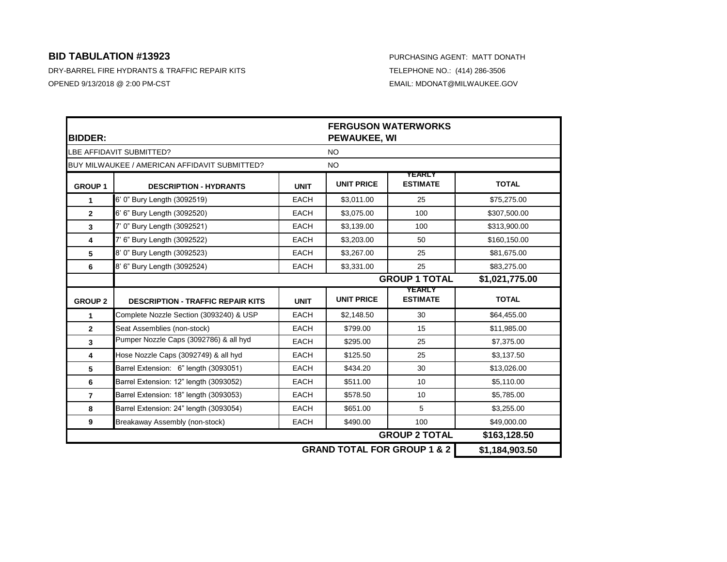| <b>BIDDER:</b>           |                                               |             | <b>FERGUSON WATERWORKS</b><br><b>PEWAUKEE, WI</b> |                                        |                |  |
|--------------------------|-----------------------------------------------|-------------|---------------------------------------------------|----------------------------------------|----------------|--|
| LBE AFFIDAVIT SUBMITTED? |                                               |             | <b>NO</b>                                         |                                        |                |  |
|                          | BUY MILWAUKEE / AMERICAN AFFIDAVIT SUBMITTED? |             | <b>NO</b>                                         |                                        |                |  |
| <b>GROUP 1</b>           | <b>DESCRIPTION - HYDRANTS</b>                 | <b>UNIT</b> | <b>UNIT PRICE</b>                                 | <b>YEARLY</b><br><b>ESTIMATE</b>       | <b>TOTAL</b>   |  |
| $\mathbf{1}$             | 6' 0" Bury Length (3092519)                   | <b>EACH</b> | \$3,011.00                                        | 25                                     | \$75,275.00    |  |
| $\overline{2}$           | 6' 6" Bury Length (3092520)                   | EACH        | \$3,075.00                                        | 100                                    | \$307,500.00   |  |
| 3                        | 7' 0" Bury Length (3092521)                   | <b>EACH</b> | \$3,139.00                                        | 100                                    | \$313,900.00   |  |
| 4                        | 7' 6" Bury Length (3092522)                   | <b>EACH</b> | \$3,203.00                                        | 50                                     | \$160,150.00   |  |
| 5                        | 8' 0" Bury Length (3092523)                   | <b>EACH</b> | \$3,267.00                                        | 25                                     | \$81,675.00    |  |
| 6                        | 8' 6" Bury Length (3092524)                   | <b>EACH</b> | \$3,331.00                                        | 25                                     | \$83,275.00    |  |
|                          |                                               |             |                                                   | <b>GROUP 1 TOTAL</b>                   | \$1,021,775.00 |  |
| <b>GROUP 2</b>           | <b>DESCRIPTION - TRAFFIC REPAIR KITS</b>      | <b>UNIT</b> | <b>UNIT PRICE</b>                                 | <b>YEARLY</b><br><b>ESTIMATE</b>       | <b>TOTAL</b>   |  |
| $\mathbf{1}$             | Complete Nozzle Section (3093240) & USP       | <b>EACH</b> | \$2,148.50                                        | 30                                     | \$64,455.00    |  |
| $\overline{2}$           | Seat Assemblies (non-stock)                   | <b>EACH</b> | \$799.00                                          | 15                                     | \$11,985.00    |  |
| $\overline{\mathbf{3}}$  | Pumper Nozzle Caps (3092786) & all hyd        | <b>EACH</b> | \$295.00                                          | 25                                     | \$7,375.00     |  |
| $\overline{\mathbf{4}}$  | Hose Nozzle Caps (3092749) & all hyd          | <b>EACH</b> | \$125.50                                          | 25                                     | \$3,137.50     |  |
| 5                        | Barrel Extension: 6" length (3093051)         | <b>EACH</b> | \$434.20                                          | 30                                     | \$13,026.00    |  |
| 6                        | Barrel Extension: 12" length (3093052)        | <b>EACH</b> | \$511.00                                          | 10                                     | \$5,110.00     |  |
| $\overline{7}$           | Barrel Extension: 18" length (3093053)        | <b>EACH</b> | \$578.50                                          | 10                                     | \$5,785.00     |  |
| 8                        | Barrel Extension: 24" length (3093054)        | <b>EACH</b> | \$651.00                                          | 5                                      | \$3.255.00     |  |
| 9                        | Breakaway Assembly (non-stock)                | <b>EACH</b> | \$490.00                                          | 100                                    | \$49,000.00    |  |
|                          |                                               |             |                                                   | <b>GROUP 2 TOTAL</b>                   | \$163,128.50   |  |
|                          |                                               |             |                                                   | <b>GRAND TOTAL FOR GROUP 1 &amp; 2</b> | \$1,184,903.50 |  |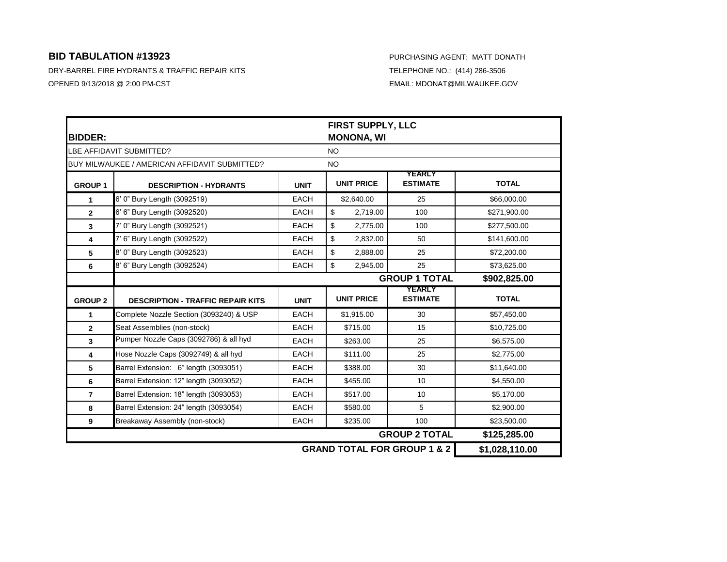| <b>BIDDER:</b>           |                                               |             | FIRST SUPPLY, LLC<br><b>MONONA, WI</b> |                                        |                |  |
|--------------------------|-----------------------------------------------|-------------|----------------------------------------|----------------------------------------|----------------|--|
| LBE AFFIDAVIT SUBMITTED? |                                               |             | <b>NO</b>                              |                                        |                |  |
|                          | BUY MILWAUKEE / AMERICAN AFFIDAVIT SUBMITTED? |             | <b>NO</b>                              |                                        |                |  |
| <b>GROUP1</b>            | <b>DESCRIPTION - HYDRANTS</b>                 | <b>UNIT</b> | <b>UNIT PRICE</b>                      | <b>YEARLY</b><br><b>ESTIMATE</b>       | <b>TOTAL</b>   |  |
| $\mathbf{1}$             | 6' 0" Bury Length (3092519)                   | <b>EACH</b> | \$2,640.00                             | 25                                     | \$66,000.00    |  |
| $\mathbf{2}$             | 6' 6" Bury Length (3092520)                   | <b>EACH</b> | \$<br>2,719.00                         | 100                                    | \$271,900.00   |  |
| 3                        | 7' 0" Bury Length (3092521)                   | <b>EACH</b> | \$<br>2,775.00                         | 100                                    | \$277,500.00   |  |
| 4                        | 7' 6" Bury Length (3092522)                   | EACH        | \$<br>2,832.00                         | 50                                     | \$141,600.00   |  |
| 5                        | 8' 0" Bury Length (3092523)                   | <b>EACH</b> | \$<br>2,888.00                         | 25                                     | \$72,200.00    |  |
| 6                        | 8' 6" Bury Length (3092524)                   | <b>EACH</b> | \$<br>2,945.00                         | 25                                     | \$73,625.00    |  |
|                          |                                               |             |                                        | <b>GROUP 1 TOTAL</b>                   | \$902,825.00   |  |
| <b>GROUP 2</b>           | <b>DESCRIPTION - TRAFFIC REPAIR KITS</b>      | <b>UNIT</b> | <b>UNIT PRICE</b>                      | <b>YEARLY</b><br><b>ESTIMATE</b>       | <b>TOTAL</b>   |  |
| 1                        | Complete Nozzle Section (3093240) & USP       | <b>EACH</b> | \$1,915.00                             | 30                                     | \$57,450.00    |  |
| $\overline{2}$           | Seat Assemblies (non-stock)                   | <b>EACH</b> | \$715.00                               | 15                                     | \$10,725.00    |  |
| 3                        | Pumper Nozzle Caps (3092786) & all hyd        | <b>EACH</b> | \$263.00                               | 25                                     | \$6,575.00     |  |
| 4                        | Hose Nozzle Caps (3092749) & all hyd          | <b>EACH</b> | \$111.00                               | 25                                     | \$2,775.00     |  |
| 5                        | Barrel Extension: 6" length (3093051)         | EACH        | \$388.00                               | 30                                     | \$11,640.00    |  |
| 6                        | Barrel Extension: 12" length (3093052)        | <b>EACH</b> | \$455.00                               | 10                                     | \$4,550.00     |  |
| $\overline{7}$           | Barrel Extension: 18" length (3093053)        | <b>EACH</b> | \$517.00                               | 10                                     | \$5,170.00     |  |
| 8                        | Barrel Extension: 24" length (3093054)        | <b>EACH</b> | \$580.00                               | 5                                      | \$2,900.00     |  |
| 9                        | Breakaway Assembly (non-stock)                | <b>EACH</b> | \$235.00                               | 100                                    | \$23,500.00    |  |
|                          |                                               |             |                                        | <b>GROUP 2 TOTAL</b>                   | \$125,285.00   |  |
|                          |                                               |             |                                        | <b>GRAND TOTAL FOR GROUP 1 &amp; 2</b> | \$1,028,110.00 |  |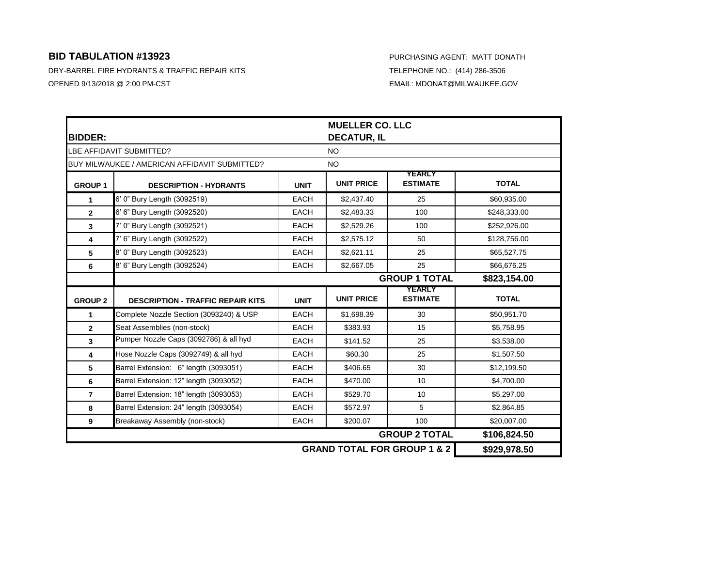| <b>BIDDER:</b>           |                                               |             | <b>MUELLER CO. LLC</b><br><b>DECATUR, IL</b> |                                  |              |  |
|--------------------------|-----------------------------------------------|-------------|----------------------------------------------|----------------------------------|--------------|--|
| LBE AFFIDAVIT SUBMITTED? |                                               |             | <b>NO</b>                                    |                                  |              |  |
|                          | BUY MILWAUKEE / AMERICAN AFFIDAVIT SUBMITTED? |             | <b>NO</b>                                    |                                  |              |  |
| <b>GROUP 1</b>           | <b>DESCRIPTION - HYDRANTS</b>                 | <b>UNIT</b> | <b>UNIT PRICE</b>                            | <b>YEARLY</b><br><b>ESTIMATE</b> | <b>TOTAL</b> |  |
| $\mathbf{1}$             | 6' 0" Bury Length (3092519)                   | <b>EACH</b> | \$2,437.40                                   | 25                               | \$60,935.00  |  |
| $\mathbf{2}$             | 6' 6" Bury Length (3092520)                   | <b>EACH</b> | \$2,483.33                                   | 100                              | \$248,333.00 |  |
| 3                        | 7' 0" Bury Length (3092521)                   | <b>EACH</b> | \$2,529.26                                   | 100                              | \$252,926.00 |  |
| $\overline{\mathbf{4}}$  | 7' 6" Bury Length (3092522)                   | <b>EACH</b> | \$2,575.12                                   | 50                               | \$128,756.00 |  |
| 5                        | 8' 0" Bury Length (3092523)                   | <b>EACH</b> | \$2,621.11                                   | 25                               | \$65,527.75  |  |
| 6                        | 8' 6" Bury Length (3092524)                   | <b>EACH</b> | \$2,667.05                                   | 25                               | \$66,676.25  |  |
|                          | <b>GROUP 1 TOTAL</b><br>\$823,154.00          |             |                                              |                                  |              |  |
| <b>GROUP 2</b>           | <b>DESCRIPTION - TRAFFIC REPAIR KITS</b>      | <b>UNIT</b> | <b>UNIT PRICE</b>                            | <b>YEARLY</b><br><b>ESTIMATE</b> | <b>TOTAL</b> |  |
| 1                        | Complete Nozzle Section (3093240) & USP       | <b>EACH</b> | \$1,698.39                                   | 30                               | \$50,951.70  |  |
| $\mathbf{2}$             | Seat Assemblies (non-stock)                   | <b>EACH</b> |                                              |                                  |              |  |
|                          |                                               |             | \$383.93                                     | 15                               | \$5,758.95   |  |
| 3                        | Pumper Nozzle Caps (3092786) & all hyd        | <b>EACH</b> | \$141.52                                     | 25                               | \$3,538.00   |  |
| $\overline{\mathbf{4}}$  | Hose Nozzle Caps (3092749) & all hyd          | <b>EACH</b> | \$60.30                                      | 25                               | \$1,507.50   |  |
| 5                        | Barrel Extension: 6" length (3093051)         | <b>EACH</b> | \$406.65                                     | 30                               | \$12,199.50  |  |
| 6                        | Barrel Extension: 12" length (3093052)        | <b>EACH</b> | \$470.00                                     | 10                               | \$4,700.00   |  |
| $\overline{7}$           | Barrel Extension: 18" length (3093053)        | <b>EACH</b> | \$529.70                                     | 10                               | \$5,297.00   |  |
| 8                        | Barrel Extension: 24" length (3093054)        | <b>EACH</b> | \$572.97                                     | 5                                | \$2,864.85   |  |
| 9                        | Breakaway Assembly (non-stock)                | <b>EACH</b> | \$200.07                                     | 100                              | \$20,007.00  |  |
|                          |                                               |             |                                              | <b>GROUP 2 TOTAL</b>             | \$106,824.50 |  |